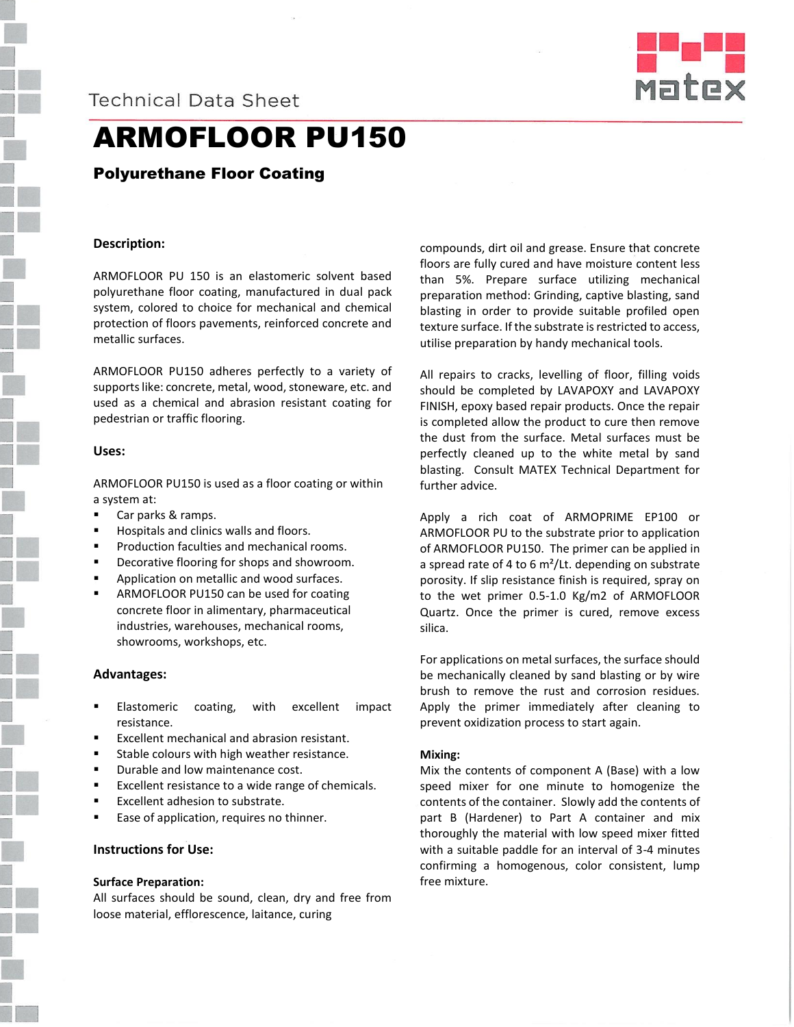



# ARMOFLOOR PU150

# Polyurethane Floor Coating

### **Description:**

ARMOFLOOR PU 150 is an elastomeric solvent based polyurethane floor coating, manufactured in dual pack system, colored to choice for mechanical and chemical protection of floors pavements, reinforced concrete and metallic surfaces.

ARMOFLOOR PU150 adheres perfectly to a variety of supports like: concrete, metal, wood, stoneware, etc. and used as a chemical and abrasion resistant coating for pedestrian or traffic flooring.

#### **Uses:**

ARMOFLOOR PU150 is used as a floor coating or within a system at:

- Car parks & ramps.
- Hospitals and clinics walls and floors.
- Production faculties and mechanical rooms.
- Decorative flooring for shops and showroom.
- Application on metallic and wood surfaces.
- ARMOFLOOR PU150 can be used for coating concrete floor in alimentary, pharmaceutical industries, warehouses, mechanical rooms, showrooms, workshops, etc.

#### **Advantages:**

- Elastomeric coating, with excellent impact resistance.
- Excellent mechanical and abrasion resistant.
- Stable colours with high weather resistance.
- **•** Durable and low maintenance cost.
- Excellent resistance to a wide range of chemicals.
- Excellent adhesion to substrate.
- Ease of application, requires no thinner.

## **Instructions for Use:**

#### **Surface Preparation:**

All surfaces should be sound, clean, dry and free from loose material, efflorescence, laitance, curing

compounds, dirt oil and grease. Ensure that concrete floors are fully cured and have moisture content less than 5%. Prepare surface utilizing mechanical preparation method: Grinding, captive blasting, sand blasting in order to provide suitable profiled open texture surface. If the substrate is restricted to access, utilise preparation by handy mechanical tools.

All repairs to cracks, levelling of floor, filling voids should be completed by LAVAPOXY and LAVAPOXY FINISH, epoxy based repair products. Once the repair is completed allow the product to cure then remove the dust from the surface. Metal surfaces must be perfectly cleaned up to the white metal by sand blasting. Consult MATEX Technical Department for further advice.

Apply a rich coat of ARMOPRIME EP100 or ARMOFLOOR PU to the substrate prior to application of ARMOFLOOR PU150. The primer can be applied in a spread rate of 4 to 6  $m^2$ /Lt. depending on substrate porosity. If slip resistance finish is required, spray on to the wet primer 0.5-1.0 Kg/m2 of ARMOFLOOR Quartz. Once the primer is cured, remove excess silica.

For applications on metal surfaces, the surface should be mechanically cleaned by sand blasting or by wire brush to remove the rust and corrosion residues. Apply the primer immediately after cleaning to prevent oxidization process to start again.

#### **Mixing:**

Mix the contents of component A (Base) with a low speed mixer for one minute to homogenize the contents of the container. Slowly add the contents of part B (Hardener) to Part A container and mix thoroughly the material with low speed mixer fitted with a suitable paddle for an interval of 3-4 minutes confirming a homogenous, color consistent, lump free mixture.